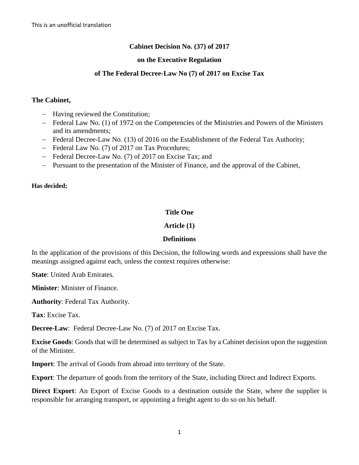# **Cabinet Decision No. (37) of 2017**

# **on the Executive Regulation**

### **of The Federal Decree-Law No (7) of 2017 on Excise Tax**

#### **The Cabinet,**

- Having reviewed the Constitution;
- Federal Law No. (1) of 1972 on the Competencies of the Ministries and Powers of the Ministers and its amendments;
- Federal Decree-Law No. (13) of 2016 on the Establishment of the Federal Tax Authority;
- Federal Law No. (7) of 2017 on Tax Procedures;
- Federal Decree-Law No. (7) of 2017 on Excise Tax; and
- Pursuant to the presentation of the Minister of Finance, and the approval of the Cabinet,

#### **Has decided;**

# **Title One**

# **Article (1)**

# **Definitions**

In the application of the provisions of this Decision, the following words and expressions shall have the meanings assigned against each, unless the context requires otherwise:

**State**: United Arab Emirates.

**Minister**: Minister of Finance.

**Authority**: Federal Tax Authority.

**Tax**: Excise Tax.

**Decree-Law**: Federal Decree-Law No. (7) of 2017 on Excise Tax.

**Excise Goods**: Goods that will be determined as subject to Tax by a Cabinet decision upon the suggestion of the Minister.

**Import**: The arrival of Goods from abroad into territory of the State.

**Export**: The departure of goods from the territory of the State, including Direct and Indirect Exports.

**Direct Export**: An Export of Excise Goods to a destination outside the State, where the supplier is responsible for arranging transport, or appointing a freight agent to do so on his behalf.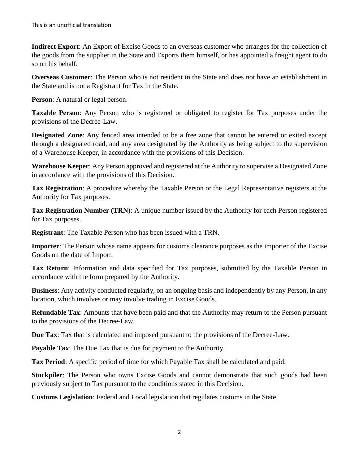**Indirect Export**: An Export of Excise Goods to an overseas customer who arranges for the collection of the goods from the supplier in the State and Exports them himself, or has appointed a freight agent to do so on his behalf.

**Overseas Customer:** The Person who is not resident in the State and does not have an establishment in the State and is not a Registrant for Tax in the State.

**Person**: A natural or legal person.

**Taxable Person**: Any Person who is registered or obligated to register for Tax purposes under the provisions of the Decree-Law.

**Designated Zone**: Any fenced area intended to be a free zone that cannot be entered or exited except through a designated road, and any area designated by the Authority as being subject to the supervision of a Warehouse Keeper, in accordance with the provisions of this Decision.

**Warehouse Keeper**: Any Person approved and registered at the Authority to supervise a Designated Zone in accordance with the provisions of this Decision.

**Tax Registration**: A procedure whereby the Taxable Person or the Legal Representative registers at the Authority for Tax purposes.

**Tax Registration Number (TRN)**: A unique number issued by the Authority for each Person registered for Tax purposes.

**Registrant**: The Taxable Person who has been issued with a TRN.

**Importer**: The Person whose name appears for customs clearance purposes as the importer of the Excise Goods on the date of Import.

**Tax Return**: Information and data specified for Tax purposes, submitted by the Taxable Person in accordance with the form prepared by the Authority.

**Business**: Any activity conducted regularly, on an ongoing basis and independently by any Person, in any location, which involves or may involve trading in Excise Goods.

**Refundable Tax**: Amounts that have been paid and that the Authority may return to the Person pursuant to the provisions of the Decree-Law.

**Due Tax**: Tax that is calculated and imposed pursuant to the provisions of the Decree-Law.

**Payable Tax**: The Due Tax that is due for payment to the Authority.

**Tax Period**: A specific period of time for which Payable Tax shall be calculated and paid.

**Stockpiler**: The Person who owns Excise Goods and cannot demonstrate that such goods had been previously subject to Tax pursuant to the conditions stated in this Decision.

**Customs Legislation**: Federal and Local legislation that regulates customs in the State.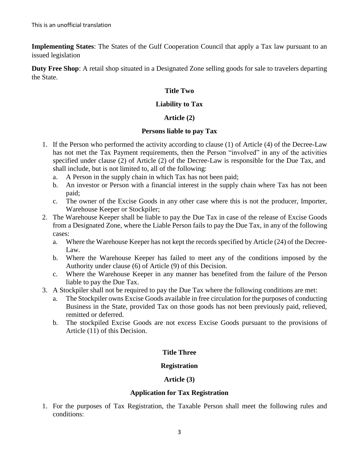**Implementing States**: The States of the Gulf Cooperation Council that apply a Tax law pursuant to an issued legislation

**Duty Free Shop**: A retail shop situated in a Designated Zone selling goods for sale to travelers departing the State.

### **Title Two**

#### **Liability to Tax**

### **Article (2)**

#### **Persons liable to pay Tax**

- 1. If the Person who performed the activity according to clause (1) of Article (4) of the Decree-Law has not met the Tax Payment requirements, then the Person "involved" in any of the activities specified under clause (2) of Article (2) of the Decree-Law is responsible for the Due Tax, and shall include, but is not limited to, all of the following:
	- a. A Person in the supply chain in which Tax has not been paid;
	- b. An investor or Person with a financial interest in the supply chain where Tax has not been paid;
	- c. The owner of the Excise Goods in any other case where this is not the producer, Importer, Warehouse Keeper or Stockpiler;
- 2. The Warehouse Keeper shall be liable to pay the Due Tax in case of the release of Excise Goods from a Designated Zone, where the Liable Person fails to pay the Due Tax, in any of the following cases:
	- a. Where the Warehouse Keeper has not kept the records specified by Article (24) of the Decree-Law.
	- b. Where the Warehouse Keeper has failed to meet any of the conditions imposed by the Authority under clause (6) of Article (9) of this Decision.
	- c. Where the Warehouse Keeper in any manner has benefited from the failure of the Person liable to pay the Due Tax.
- 3. A Stockpiler shall not be required to pay the Due Tax where the following conditions are met:
	- a. The Stockpiler owns Excise Goods available in free circulation for the purposes of conducting Business in the State, provided Tax on those goods has not been previously paid, relieved, remitted or deferred.
	- b. The stockpiled Excise Goods are not excess Excise Goods pursuant to the provisions of Article (11) of this Decision.

#### **Title Three**

#### **Registration**

#### **Article (3)**

#### **Application for Tax Registration**

1. For the purposes of Tax Registration, the Taxable Person shall meet the following rules and conditions: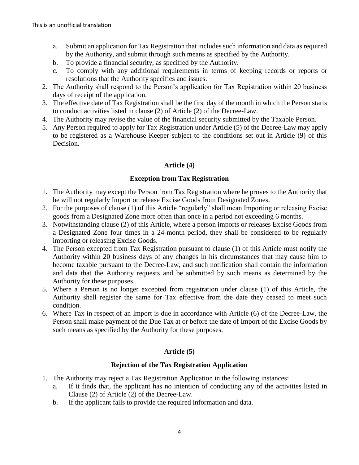- a. Submit an application for Tax Registration that includes such information and data as required by the Authority, and submit through such means as specified by the Authority.
- b. To provide a financial security, as specified by the Authority.
- c. To comply with any additional requirements in terms of keeping records or reports or resolutions that the Authority specifies and issues.
- 2. The Authority shall respond to the Person's application for Tax Registration within 20 business days of receipt of the application.
- 3. The effective date of Tax Registration shall be the first day of the month in which the Person starts to conduct activities listed in clause (2) of Article (2) of the Decree-Law.
- 4. The Authority may revise the value of the financial security submitted by the Taxable Person.
- 5. Any Person required to apply for Tax Registration under Article (5) of the Decree-Law may apply to be registered as a Warehouse Keeper subject to the conditions set out in Article (9) of this Decision.

# **Article (4)**

# **Exception from Tax Registration**

- 1. The Authority may except the Person from Tax Registration where he proves to the Authority that he will not regularly Import or release Excise Goods from Designated Zones.
- 2. For the purposes of clause (1) of this Article "regularly" shall mean Importing or releasing Excise goods from a Designated Zone more often than once in a period not exceeding 6 months.
- 3. Notwithstanding clause (2) of this Article, where a person imports or releases Excise Goods from a Designated Zone four times in a 24-month period, they shall be considered to be regularly importing or releasing Excise Goods.
- 4. The Person excepted from Tax Registration pursuant to clause (1) of this Article must notify the Authority within 20 business days of any changes in his circumstances that may cause him to become taxable pursuant to the Decree-Law, and such notification shall contain the information and data that the Authority requests and be submitted by such means as determined by the Authority for these purposes.
- 5. Where a Person is no longer excepted from registration under clause (1) of this Article, the Authority shall register the same for Tax effective from the date they ceased to meet such condition.
- 6. Where Tax in respect of an Import is due in accordance with Article (6) of the Decree-Law, the Person shall make payment of the Due Tax at or before the date of Import of the Excise Goods by such means as specified by the Authority for these purposes.

# **Article (5)**

# **Rejection of the Tax Registration Application**

- 1. The Authority may reject a Tax Registration Application in the following instances:
	- a. If it finds that, the applicant has no intention of conducting any of the activities listed in Clause (2) of Article (2) of the Decree-Law.
	- b. If the applicant fails to provide the required information and data.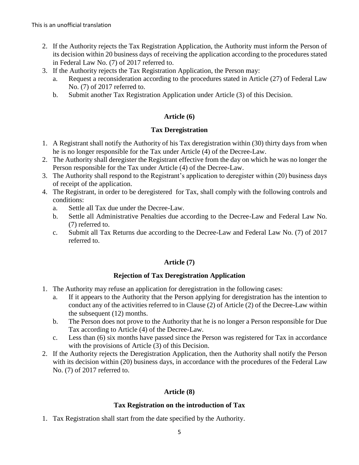- 2. If the Authority rejects the Tax Registration Application, the Authority must inform the Person of its decision within 20 business days of receiving the application according to the procedures stated in Federal Law No. (7) of 2017 referred to.
- 3. If the Authority rejects the Tax Registration Application, the Person may:
	- a. Request a reconsideration according to the procedures stated in Article (27) of Federal Law No. (7) of 2017 referred to.
	- b. Submit another Tax Registration Application under Article (3) of this Decision.

# **Article (6)**

# **Tax Deregistration**

- 1. A Registrant shall notify the Authority of his Tax deregistration within (30) thirty days from when he is no longer responsible for the Tax under Article (4) of the Decree-Law.
- 2. The Authority shall deregister the Registrant effective from the day on which he was no longer the Person responsible for the Tax under Article (4) of the Decree-Law.
- 3. The Authority shall respond to the Registrant's application to deregister within (20) business days of receipt of the application.
- 4. The Registrant, in order to be deregistered for Tax, shall comply with the following controls and conditions:
	- a. Settle all Tax due under the Decree-Law.
	- b. Settle all Administrative Penalties due according to the Decree-Law and Federal Law No. (7) referred to.
	- c. Submit all Tax Returns due according to the Decree-Law and Federal Law No. (7) of 2017 referred to.

# **Article (7)**

# **Rejection of Tax Deregistration Application**

- 1. The Authority may refuse an application for deregistration in the following cases:
	- a. If it appears to the Authority that the Person applying for deregistration has the intention to conduct any of the activities referred to in Clause (2) of Article (2) of the Decree-Law within the subsequent (12) months.
	- b. The Person does not prove to the Authority that he is no longer a Person responsible for Due Tax according to Article (4) of the Decree-Law.
	- c. Less than (6) six months have passed since the Person was registered for Tax in accordance with the provisions of Article (3) of this Decision.
- 2. If the Authority rejects the Deregistration Application, then the Authority shall notify the Person with its decision within (20) business days, in accordance with the procedures of the Federal Law No. (7) of 2017 referred to.

# **Article (8)**

# **Tax Registration on the introduction of Tax**

1. Tax Registration shall start from the date specified by the Authority.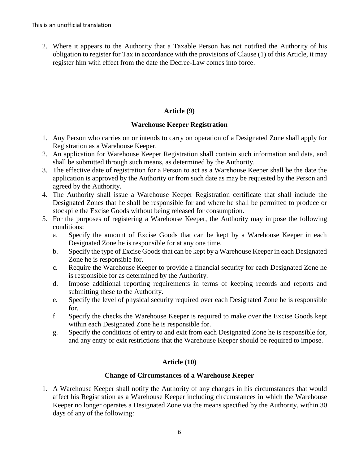2. Where it appears to the Authority that a Taxable Person has not notified the Authority of his obligation to register for Tax in accordance with the provisions of Clause (1) of this Article, it may register him with effect from the date the Decree-Law comes into force.

# **Article (9)**

# **Warehouse Keeper Registration**

- 1. Any Person who carries on or intends to carry on operation of a Designated Zone shall apply for Registration as a Warehouse Keeper.
- 2. An application for Warehouse Keeper Registration shall contain such information and data, and shall be submitted through such means, as determined by the Authority.
- 3. The effective date of registration for a Person to act as a Warehouse Keeper shall be the date the application is approved by the Authority or from such date as may be requested by the Person and agreed by the Authority.
- 4. The Authority shall issue a Warehouse Keeper Registration certificate that shall include the Designated Zones that he shall be responsible for and where he shall be permitted to produce or stockpile the Excise Goods without being released for consumption.
- 5. For the purposes of registering a Warehouse Keeper, the Authority may impose the following conditions:
	- a. Specify the amount of Excise Goods that can be kept by a Warehouse Keeper in each Designated Zone he is responsible for at any one time.
	- b. Specify the type of Excise Goods that can be kept by a Warehouse Keeper in each Designated Zone he is responsible for.
	- c. Require the Warehouse Keeper to provide a financial security for each Designated Zone he is responsible for as determined by the Authority.
	- d. Impose additional reporting requirements in terms of keeping records and reports and submitting these to the Authority.
	- e. Specify the level of physical security required over each Designated Zone he is responsible for.
	- f. Specify the checks the Warehouse Keeper is required to make over the Excise Goods kept within each Designated Zone he is responsible for.
	- g. Specify the conditions of entry to and exit from each Designated Zone he is responsible for, and any entry or exit restrictions that the Warehouse Keeper should be required to impose.

# **Article (10)**

# **Change of Circumstances of a Warehouse Keeper**

1. A Warehouse Keeper shall notify the Authority of any changes in his circumstances that would affect his Registration as a Warehouse Keeper including circumstances in which the Warehouse Keeper no longer operates a Designated Zone via the means specified by the Authority, within 30 days of any of the following: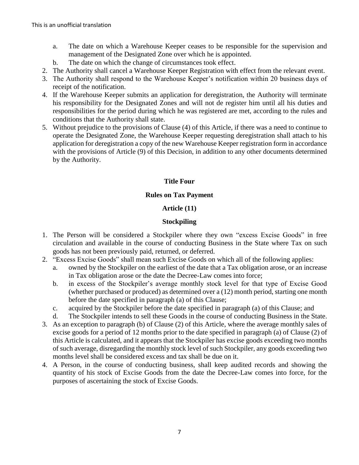- a. The date on which a Warehouse Keeper ceases to be responsible for the supervision and management of the Designated Zone over which he is appointed.
- b. The date on which the change of circumstances took effect.
- 2. The Authority shall cancel a Warehouse Keeper Registration with effect from the relevant event.
- 3. The Authority shall respond to the Warehouse Keeper's notification within 20 business days of receipt of the notification.
- 4. If the Warehouse Keeper submits an application for deregistration, the Authority will terminate his responsibility for the Designated Zones and will not de register him until all his duties and responsibilities for the period during which he was registered are met, according to the rules and conditions that the Authority shall state.
- 5. Without prejudice to the provisions of Clause (4) of this Article, if there was a need to continue to operate the Designated Zone, the Warehouse Keeper requesting deregistration shall attach to his application for deregistration a copy of the new Warehouse Keeper registration form in accordance with the provisions of Article (9) of this Decision, in addition to any other documents determined by the Authority.

# **Title Four**

# **Rules on Tax Payment**

# **Article (11)**

# **Stockpiling**

- 1. The Person will be considered a Stockpiler where they own "excess Excise Goods" in free circulation and available in the course of conducting Business in the State where Tax on such goods has not been previously paid, returned, or deferred.
- 2. "Excess Excise Goods" shall mean such Excise Goods on which all of the following applies:
	- a. owned by the Stockpiler on the earliest of the date that a Tax obligation arose, or an increase in Tax obligation arose or the date the Decree-Law comes into force;
	- b. in excess of the Stockpiler's average monthly stock level for that type of Excise Good (whether purchased or produced) as determined over a (12) month period, starting one month before the date specified in paragraph (a) of this Clause;
	- c. acquired by the Stockpiler before the date specified in paragraph (a) of this Clause; and
	- d. The Stockpiler intends to sell these Goods in the course of conducting Business in the State.
- 3. As an exception to paragraph (b) of Clause (2) of this Article, where the average monthly sales of excise goods for a period of 12 months prior to the date specified in paragraph (a) of Clause (2) of this Article is calculated, and it appears that the Stockpiler has excise goods exceeding two months of such average, disregarding the monthly stock level of such Stockpiler, any goods exceeding two months level shall be considered excess and tax shall be due on it.
- 4. A Person, in the course of conducting business, shall keep audited records and showing the quantity of his stock of Excise Goods from the date the Decree-Law comes into force, for the purposes of ascertaining the stock of Excise Goods.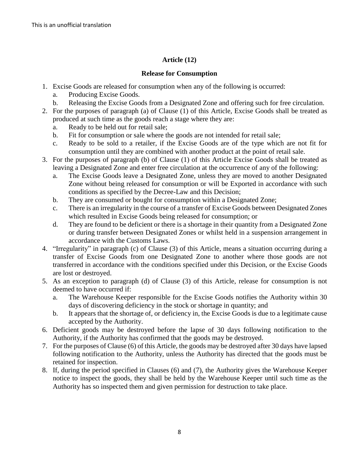# **Article (12)**

# **Release for Consumption**

- 1. Excise Goods are released for consumption when any of the following is occurred:
	- a. Producing Excise Goods.
	- b. Releasing the Excise Goods from a Designated Zone and offering such for free circulation.
- 2. For the purposes of paragraph (a) of Clause (1) of this Article, Excise Goods shall be treated as produced at such time as the goods reach a stage where they are:
	- a. Ready to be held out for retail sale;
	- b. Fit for consumption or sale where the goods are not intended for retail sale;
	- c. Ready to be sold to a retailer, if the Excise Goods are of the type which are not fit for consumption until they are combined with another product at the point of retail sale.
- 3. For the purposes of paragraph (b) of Clause (1) of this Article Excise Goods shall be treated as leaving a Designated Zone and enter free circulation at the occurrence of any of the following:
	- a. The Excise Goods leave a Designated Zone, unless they are moved to another Designated Zone without being released for consumption or will be Exported in accordance with such conditions as specified by the Decree-Law and this Decision;
	- b. They are consumed or bought for consumption within a Designated Zone;
	- c. There is an irregularity in the course of a transfer of Excise Goods between Designated Zones which resulted in Excise Goods being released for consumption; or
	- d. They are found to be deficient or there is a shortage in their quantity from a Designated Zone or during transfer between Designated Zones or whilst held in a suspension arrangement in accordance with the Customs Laws.
- 4. "Irregularity" in paragraph (c) of Clause (3) of this Article, means a situation occurring during a transfer of Excise Goods from one Designated Zone to another where those goods are not transferred in accordance with the conditions specified under this Decision, or the Excise Goods are lost or destroyed.
- 5. As an exception to paragraph (d) of Clause (3) of this Article, release for consumption is not deemed to have occurred if:
	- a. The Warehouse Keeper responsible for the Excise Goods notifies the Authority within 30 days of discovering deficiency in the stock or shortage in quantity; and
	- b. It appears that the shortage of, or deficiency in, the Excise Goods is due to a legitimate cause accepted by the Authority.
- 6. Deficient goods may be destroyed before the lapse of 30 days following notification to the Authority, if the Authority has confirmed that the goods may be destroyed.
- 7. For the purposes of Clause (6) of this Article, the goods may be destroyed after 30 days have lapsed following notification to the Authority, unless the Authority has directed that the goods must be retained for inspection.
- 8. If, during the period specified in Clauses (6) and (7), the Authority gives the Warehouse Keeper notice to inspect the goods, they shall be held by the Warehouse Keeper until such time as the Authority has so inspected them and given permission for destruction to take place.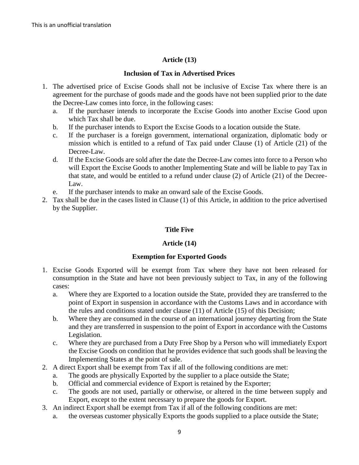# **Article (13)**

### **Inclusion of Tax in Advertised Prices**

- 1. The advertised price of Excise Goods shall not be inclusive of Excise Tax where there is an agreement for the purchase of goods made and the goods have not been supplied prior to the date the Decree-Law comes into force, in the following cases:
	- a. If the purchaser intends to incorporate the Excise Goods into another Excise Good upon which Tax shall be due.
	- b. If the purchaser intends to Export the Excise Goods to a location outside the State.
	- c. If the purchaser is a foreign government, international organization, diplomatic body or mission which is entitled to a refund of Tax paid under Clause (1) of Article (21) of the Decree-Law.
	- d. If the Excise Goods are sold after the date the Decree-Law comes into force to a Person who will Export the Excise Goods to another Implementing State and will be liable to pay Tax in that state, and would be entitled to a refund under clause (2) of Article (21) of the Decree-Law.
	- e. If the purchaser intends to make an onward sale of the Excise Goods.
- 2. Tax shall be due in the cases listed in Clause (1) of this Article, in addition to the price advertised by the Supplier.

# **Title Five**

# **Article (14)**

#### **Exemption for Exported Goods**

- 1. Excise Goods Exported will be exempt from Tax where they have not been released for consumption in the State and have not been previously subject to Tax, in any of the following cases:
	- a. Where they are Exported to a location outside the State, provided they are transferred to the point of Export in suspension in accordance with the Customs Laws and in accordance with the rules and conditions stated under clause (11) of Article (15) of this Decision;
	- b. Where they are consumed in the course of an international journey departing from the State and they are transferred in suspension to the point of Export in accordance with the Customs Legislation.
	- c. Where they are purchased from a Duty Free Shop by a Person who will immediately Export the Excise Goods on condition that he provides evidence that such goods shall be leaving the Implementing States at the point of sale.
- 2. A direct Export shall be exempt from Tax if all of the following conditions are met:
	- a. The goods are physically Exported by the supplier to a place outside the State;
	- b. Official and commercial evidence of Export is retained by the Exporter;
	- c. The goods are not used, partially or otherwise, or altered in the time between supply and Export, except to the extent necessary to prepare the goods for Export.
- 3. An indirect Export shall be exempt from Tax if all of the following conditions are met:
	- a. the overseas customer physically Exports the goods supplied to a place outside the State;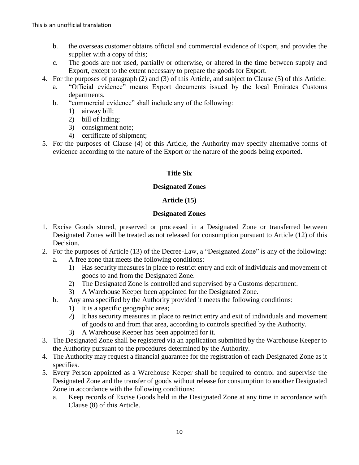- b. the overseas customer obtains official and commercial evidence of Export, and provides the supplier with a copy of this;
- c. The goods are not used, partially or otherwise, or altered in the time between supply and Export, except to the extent necessary to prepare the goods for Export.
- 4. For the purposes of paragraph (2) and (3) of this Article, and subject to Clause (5) of this Article:
	- a. "Official evidence" means Export documents issued by the local Emirates Customs departments.
	- b. "commercial evidence" shall include any of the following:
		- 1) airway bill;
		- 2) bill of lading;
		- 3) consignment note;
		- 4) certificate of shipment;
- 5. For the purposes of Clause (4) of this Article, the Authority may specify alternative forms of evidence according to the nature of the Export or the nature of the goods being exported.

# **Title Six**

# **Designated Zones**

# **Article (15)**

# **Designated Zones**

- 1. Excise Goods stored, preserved or processed in a Designated Zone or transferred between Designated Zones will be treated as not released for consumption pursuant to Article (12) of this Decision.
- 2. For the purposes of Article (13) of the Decree-Law, a "Designated Zone" is any of the following: a. A free zone that meets the following conditions:
	- 1) Has security measures in place to restrict entry and exit of individuals and movement of goods to and from the Designated Zone.
	- 2) The Designated Zone is controlled and supervised by a Customs department.
	- 3) A Warehouse Keeper been appointed for the Designated Zone.
	- b. Any area specified by the Authority provided it meets the following conditions:
		- 1) It is a specific geographic area;
		- 2) It has security measures in place to restrict entry and exit of individuals and movement of goods to and from that area, according to controls specified by the Authority.
		- 3) A Warehouse Keeper has been appointed for it.
- 3. The Designated Zone shall be registered via an application submitted by the Warehouse Keeper to the Authority pursuant to the procedures determined by the Authority.
- 4. The Authority may request a financial guarantee for the registration of each Designated Zone as it specifies.
- 5. Every Person appointed as a Warehouse Keeper shall be required to control and supervise the Designated Zone and the transfer of goods without release for consumption to another Designated Zone in accordance with the following conditions:
	- a. Keep records of Excise Goods held in the Designated Zone at any time in accordance with Clause (8) of this Article.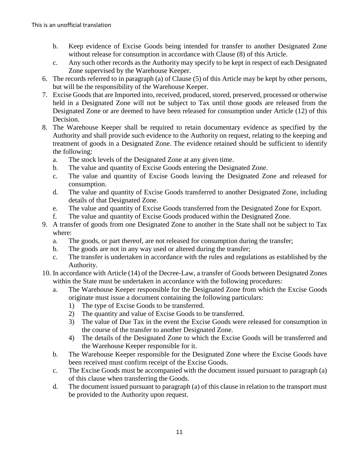- b. Keep evidence of Excise Goods being intended for transfer to another Designated Zone without release for consumption in accordance with Clause (8) of this Article.
- c. Any such other records as the Authority may specify to be kept in respect of each Designated Zone supervised by the Warehouse Keeper.
- 6. The records referred to in paragraph (a) of Clause (5) of this Article may be kept by other persons, but will be the responsibility of the Warehouse Keeper.
- 7. Excise Goods that are Imported into, received, produced, stored, preserved, processed or otherwise held in a Designated Zone will not be subject to Tax until those goods are released from the Designated Zone or are deemed to have been released for consumption under Article (12) of this Decision.
- 8. The Warehouse Keeper shall be required to retain documentary evidence as specified by the Authority and shall provide such evidence to the Authority on request, relating to the keeping and treatment of goods in a Designated Zone. The evidence retained should be sufficient to identify the following:
	- a. The stock levels of the Designated Zone at any given time.
	- b. The value and quantity of Excise Goods entering the Designated Zone.
	- c. The value and quantity of Excise Goods leaving the Designated Zone and released for consumption.
	- d. The value and quantity of Excise Goods transferred to another Designated Zone, including details of that Designated Zone.
	- e. The value and quantity of Excise Goods transferred from the Designated Zone for Export.
	- f. The value and quantity of Excise Goods produced within the Designated Zone.
- 9. A transfer of goods from one Designated Zone to another in the State shall not be subject to Tax where:
	- a. The goods, or part thereof, are not released for consumption during the transfer;
	- b. The goods are not in any way used or altered during the transfer;
	- c. The transfer is undertaken in accordance with the rules and regulations as established by the Authority.
- 10. In accordance with Article (14) of the Decree-Law, a transfer of Goods between Designated Zones within the State must be undertaken in accordance with the following procedures:
	- a. The Warehouse Keeper responsible for the Designated Zone from which the Excise Goods originate must issue a document containing the following particulars:
		- 1) The type of Excise Goods to be transferred.
		- 2) The quantity and value of Excise Goods to be transferred.
		- 3) The value of Due Tax in the event the Excise Goods were released for consumption in the course of the transfer to another Designated Zone.
		- 4) The details of the Designated Zone to which the Excise Goods will be transferred and the Warehouse Keeper responsible for it.
	- b. The Warehouse Keeper responsible for the Designated Zone where the Excise Goods have been received must confirm receipt of the Excise Goods.
	- c. The Excise Goods must be accompanied with the document issued pursuant to paragraph (a) of this clause when transferring the Goods.
	- d. The document issued pursuant to paragraph (a) of this clause in relation to the transport must be provided to the Authority upon request.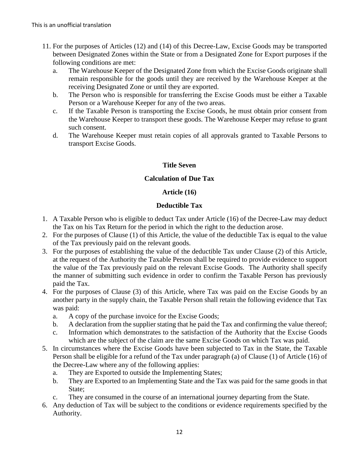- 11. For the purposes of Articles (12) and (14) of this Decree-Law, Excise Goods may be transported between Designated Zones within the State or from a Designated Zone for Export purposes if the following conditions are met:
	- a. The Warehouse Keeper of the Designated Zone from which the Excise Goods originate shall remain responsible for the goods until they are received by the Warehouse Keeper at the receiving Designated Zone or until they are exported.
	- b. The Person who is responsible for transferring the Excise Goods must be either a Taxable Person or a Warehouse Keeper for any of the two areas.
	- c. If the Taxable Person is transporting the Excise Goods, he must obtain prior consent from the Warehouse Keeper to transport these goods. The Warehouse Keeper may refuse to grant such consent.
	- d. The Warehouse Keeper must retain copies of all approvals granted to Taxable Persons to transport Excise Goods.

# **Title Seven**

### **Calculation of Due Tax**

### **Article (16)**

### **Deductible Tax**

- 1. A Taxable Person who is eligible to deduct Tax under Article (16) of the Decree-Law may deduct the Tax on his Tax Return for the period in which the right to the deduction arose.
- 2. For the purposes of Clause (1) of this Article, the value of the deductible Tax is equal to the value of the Tax previously paid on the relevant goods.
- 3. For the purposes of establishing the value of the deductible Tax under Clause (2) of this Article, at the request of the Authority the Taxable Person shall be required to provide evidence to support the value of the Tax previously paid on the relevant Excise Goods. The Authority shall specify the manner of submitting such evidence in order to confirm the Taxable Person has previously paid the Tax.
- 4. For the purposes of Clause (3) of this Article, where Tax was paid on the Excise Goods by an another party in the supply chain, the Taxable Person shall retain the following evidence that Tax was paid:
	- a. A copy of the purchase invoice for the Excise Goods;
	- b. A declaration from the supplier stating that he paid the Tax and confirming the value thereof;
	- c. Information which demonstrates to the satisfaction of the Authority that the Excise Goods which are the subject of the claim are the same Excise Goods on which Tax was paid.
- 5. In circumstances where the Excise Goods have been subjected to Tax in the State, the Taxable Person shall be eligible for a refund of the Tax under paragraph (a) of Clause (1) of Article (16) of the Decree-Law where any of the following applies:
	- a. They are Exported to outside the Implementing States;
	- b. They are Exported to an Implementing State and the Tax was paid for the same goods in that State;
	- c. They are consumed in the course of an international journey departing from the State.
- 6. Any deduction of Tax will be subject to the conditions or evidence requirements specified by the Authority.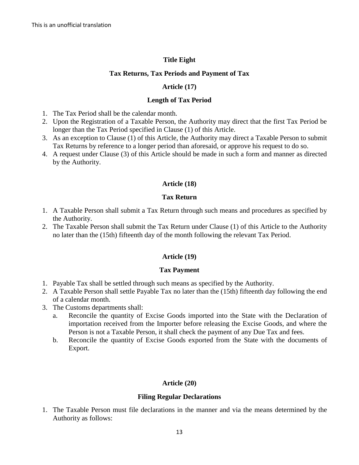# **Title Eight**

### **Tax Returns, Tax Periods and Payment of Tax**

### **Article (17)**

### **Length of Tax Period**

- 1. The Tax Period shall be the calendar month.
- 2. Upon the Registration of a Taxable Person, the Authority may direct that the first Tax Period be longer than the Tax Period specified in Clause (1) of this Article.
- 3. As an exception to Clause (1) of this Article, the Authority may direct a Taxable Person to submit Tax Returns by reference to a longer period than aforesaid, or approve his request to do so.
- 4. A request under Clause (3) of this Article should be made in such a form and manner as directed by the Authority.

# **Article (18)**

# **Tax Return**

- 1. A Taxable Person shall submit a Tax Return through such means and procedures as specified by the Authority.
- 2. The Taxable Person shall submit the Tax Return under Clause (1) of this Article to the Authority no later than the (15th) fifteenth day of the month following the relevant Tax Period.

# **Article (19)**

#### **Tax Payment**

- 1. Payable Tax shall be settled through such means as specified by the Authority.
- 2. A Taxable Person shall settle Payable Tax no later than the (15th) fifteenth day following the end of a calendar month.
- 3. The Customs departments shall:
	- a. Reconcile the quantity of Excise Goods imported into the State with the Declaration of importation received from the Importer before releasing the Excise Goods, and where the Person is not a Taxable Person, it shall check the payment of any Due Tax and fees.
	- b. Reconcile the quantity of Excise Goods exported from the State with the documents of Export.

# **Article (20)**

#### **Filing Regular Declarations**

1. The Taxable Person must file declarations in the manner and via the means determined by the Authority as follows: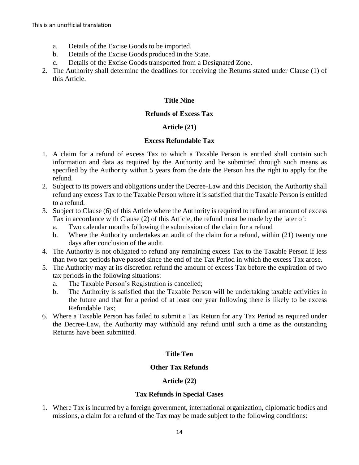- a. Details of the Excise Goods to be imported.
- b. Details of the Excise Goods produced in the State.
- c. Details of the Excise Goods transported from a Designated Zone.
- 2. The Authority shall determine the deadlines for receiving the Returns stated under Clause (1) of this Article.

### **Title Nine**

#### **Refunds of Excess Tax**

# **Article (21)**

### **Excess Refundable Tax**

- 1. A claim for a refund of excess Tax to which a Taxable Person is entitled shall contain such information and data as required by the Authority and be submitted through such means as specified by the Authority within 5 years from the date the Person has the right to apply for the refund.
- 2. Subject to its powers and obligations under the Decree-Law and this Decision, the Authority shall refund any excess Tax to the Taxable Person where it is satisfied that the Taxable Person is entitled to a refund.
- 3. Subject to Clause (6) of this Article where the Authority is required to refund an amount of excess Tax in accordance with Clause (2) of this Article, the refund must be made by the later of:
	- a. Two calendar months following the submission of the claim for a refund
	- b. Where the Authority undertakes an audit of the claim for a refund, within (21) twenty one days after conclusion of the audit.
- 4. The Authority is not obligated to refund any remaining excess Tax to the Taxable Person if less than two tax periods have passed since the end of the Tax Period in which the excess Tax arose.
- 5. The Authority may at its discretion refund the amount of excess Tax before the expiration of two tax periods in the following situations:
	- a. The Taxable Person's Registration is cancelled;
	- b. The Authority is satisfied that the Taxable Person will be undertaking taxable activities in the future and that for a period of at least one year following there is likely to be excess Refundable Tax;
- 6. Where a Taxable Person has failed to submit a Tax Return for any Tax Period as required under the Decree-Law, the Authority may withhold any refund until such a time as the outstanding Returns have been submitted.

# **Title Ten**

# **Other Tax Refunds**

# **Article (22)**

# **Tax Refunds in Special Cases**

1. Where Tax is incurred by a foreign government, international organization, diplomatic bodies and missions, a claim for a refund of the Tax may be made subject to the following conditions: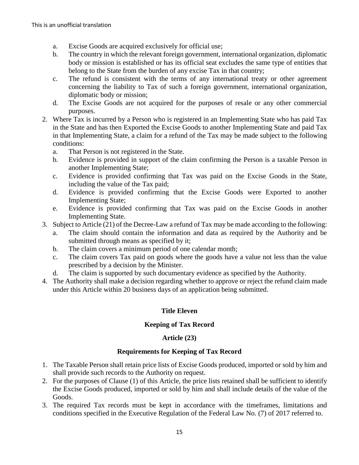- a. Excise Goods are acquired exclusively for official use;
- b. The country in which the relevant foreign government, international organization, diplomatic body or mission is established or has its official seat excludes the same type of entities that belong to the State from the burden of any excise Tax in that country;
- c. The refund is consistent with the terms of any international treaty or other agreement concerning the liability to Tax of such a foreign government, international organization, diplomatic body or mission;
- d. The Excise Goods are not acquired for the purposes of resale or any other commercial purposes.
- 2. Where Tax is incurred by a Person who is registered in an Implementing State who has paid Tax in the State and has then Exported the Excise Goods to another Implementing State and paid Tax in that Implementing State, a claim for a refund of the Tax may be made subject to the following conditions:
	- a. That Person is not registered in the State.
	- b. Evidence is provided in support of the claim confirming the Person is a taxable Person in another Implementing State;
	- c. Evidence is provided confirming that Tax was paid on the Excise Goods in the State, including the value of the Tax paid;
	- d. Evidence is provided confirming that the Excise Goods were Exported to another Implementing State;
	- e. Evidence is provided confirming that Tax was paid on the Excise Goods in another Implementing State.
- 3. Subject to Article (21) of the Decree-Law a refund of Tax may be made according to the following:
	- a. The claim should contain the information and data as required by the Authority and be submitted through means as specified by it;
	- b. The claim covers a minimum period of one calendar month;
	- c. The claim covers Tax paid on goods where the goods have a value not less than the value prescribed by a decision by the Minister.
	- d. The claim is supported by such documentary evidence as specified by the Authority.
- 4. The Authority shall make a decision regarding whether to approve or reject the refund claim made under this Article within 20 business days of an application being submitted.

# **Title Eleven**

# **Keeping of Tax Record**

# **Article (23)**

# **Requirements for Keeping of Tax Record**

- 1. The Taxable Person shall retain price lists of Excise Goods produced, imported or sold by him and shall provide such records to the Authority on request.
- 2. For the purposes of Clause (1) of this Article, the price lists retained shall be sufficient to identify the Excise Goods produced, imported or sold by him and shall include details of the value of the Goods.
- 3. The required Tax records must be kept in accordance with the timeframes, limitations and conditions specified in the Executive Regulation of the Federal Law No. (7) of 2017 referred to.